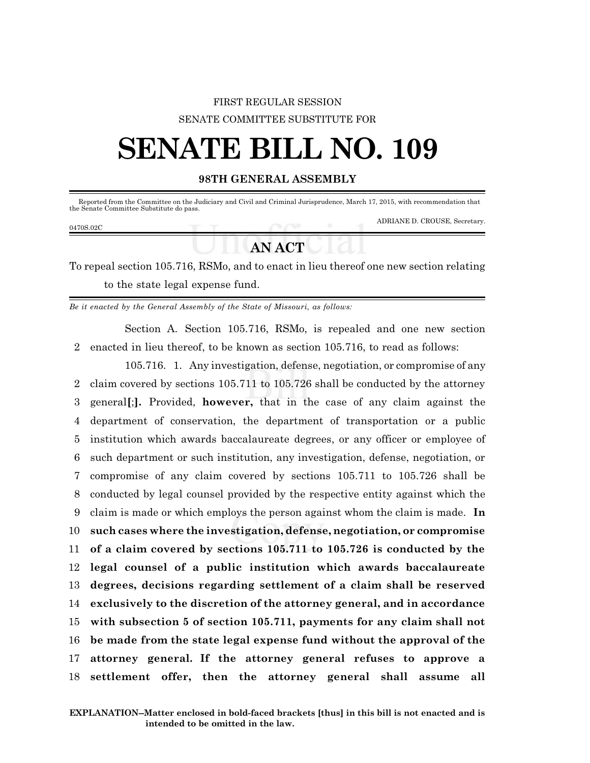## FIRST REGULAR SESSION SENATE COMMITTEE SUBSTITUTE FOR

# **SENATE BILL NO. 109**

### **98TH GENERAL ASSEMBLY**

Reported from the Committee on the Judiciary and Civil and Criminal Jurisprudence, March 17, 2015, with recommendation that the Senate Committee Substitute do pass.

#### 0470S.02C

ADRIANE D. CROUSE, Secretary.

## **AN ACT**

To repeal section 105.716, RSMo, and to enact in lieu thereof one new section relating to the state legal expense fund.

*Be it enacted by the General Assembly of the State of Missouri, as follows:*

Section A. Section 105.716, RSMo, is repealed and one new section 2 enacted in lieu thereof, to be known as section 105.716, to read as follows:

105.716. 1. Any investigation, defense, negotiation, or compromise of any claim covered by sections 105.711 to 105.726 shall be conducted by the attorney general**[**;**].** Provided, **however,** that in the case of any claim against the department of conservation, the department of transportation or a public institution which awards baccalaureate degrees, or any officer or employee of such department or such institution, any investigation, defense, negotiation, or compromise of any claim covered by sections 105.711 to 105.726 shall be conducted by legal counsel provided by the respective entity against which the claim is made or which employs the person against whom the claim is made. **In such cases where the investigation, defense, negotiation, or compromise of a claim covered by sections 105.711 to 105.726 is conducted by the legal counsel of a public institution which awards baccalaureate degrees, decisions regarding settlement of a claim shall be reserved exclusively to the discretion of the attorney general, and in accordance with subsection 5 of section 105.711, payments for any claim shall not be made from the state legal expense fund without the approval of the attorney general. If the attorney general refuses to approve a settlement offer, then the attorney general shall assume all**